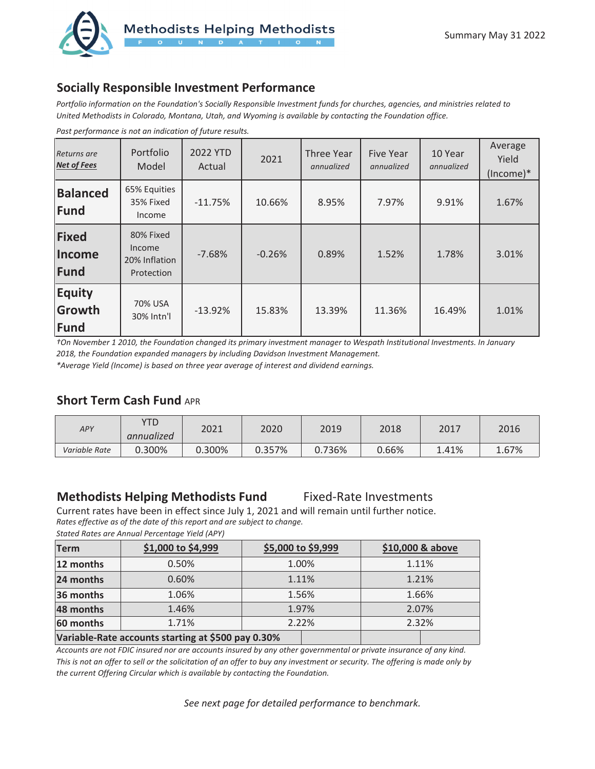

# **Socially Responsible Investment Performance**

*Portfolio information on the Foundation's Socially Responsible Investment funds for churches, agencies, and ministries related to United Methodists in Colorado, Montana, Utah, and Wyoming is available by contacting the Foundation office.* 

| Returns are<br><b>Net of Fees</b> | Portfolio<br>Model                                 | 2022 YTD<br>Actual | 2021     | Three Year<br>annualized | <b>Five Year</b><br>annualized | 10 Year<br>annualized | Average<br>Yield<br>(Income)* |
|-----------------------------------|----------------------------------------------------|--------------------|----------|--------------------------|--------------------------------|-----------------------|-------------------------------|
| <b>Balanced</b><br>Fund           | 65% Equities<br>35% Fixed<br>Income                | $-11.75%$          | 10.66%   | 8.95%                    | 7.97%                          | 9.91%                 | 1.67%                         |
| Fixed<br><b>Income</b><br>Fund    | 80% Fixed<br>Income<br>20% Inflation<br>Protection | $-7.68%$           | $-0.26%$ | 0.89%                    | 1.52%                          | 1.78%                 | 3.01%                         |
| <b>Equity</b><br>Growth<br>Fund   | 70% USA<br>30% Intn'l                              | $-13.92%$          | 15.83%   | 13.39%                   | 11.36%                         | 16.49%                | 1.01%                         |

*Past performance is not an indication of future results.*

*†On November 1 2010, the Foundation changed its primary investment manager to Wespath Institutional Investments. In January 2018, the Foundation expanded managers by including Davidson Investment Management.* 

*\*Average Yield (Income) is based on three year average of interest and dividend earnings.* 

### **Short Term Cash Fund APR**

| APY           | YTD<br>annualized | 2021   | 2020   | 2019   | 2018  | 2017  | 2016  |
|---------------|-------------------|--------|--------|--------|-------|-------|-------|
| Variable Rate | 0.300%            | 0.300% | 0.357% | 0.736% | 0.66% | 1.41% | 1.67% |

## **Methodists Helping Methodists Fund** Fixed-Rate Investments

Current rates have been in effect since July 1, 2021 and will remain until further notice. *Rates effective as of the date of this report and are subject to change. Stated Rates are Annual Percentage Yield (APY)* 

| <b>Term</b> | \$1,000 to \$4,999                                 | \$5,000 to \$9,999 | \$10,000 & above |
|-------------|----------------------------------------------------|--------------------|------------------|
| 12 months   | 0.50%                                              | 1.00%              | 1.11%            |
| 24 months   | 0.60%                                              | 1.11%              | 1.21%            |
| 36 months   | 1.06%                                              | 1.56%              | 1.66%            |
| 48 months   | 1.46%                                              | 1.97%              | 2.07%            |
| 60 months   | 1.71%                                              | 2.22%              | 2.32%            |
|             | Variable-Rate accounts starting at \$500 pay 0.30% |                    |                  |

*Accounts are not FDIC insured nor are accounts insured by any other governmental or private insurance of any kind. This is not an offer to sell or the solicitation of an offer to buy any investment or security. The offering is made only by the current Offering Circular which is available by contacting the Foundation.*

*See next page for detailed performance to benchmark.*